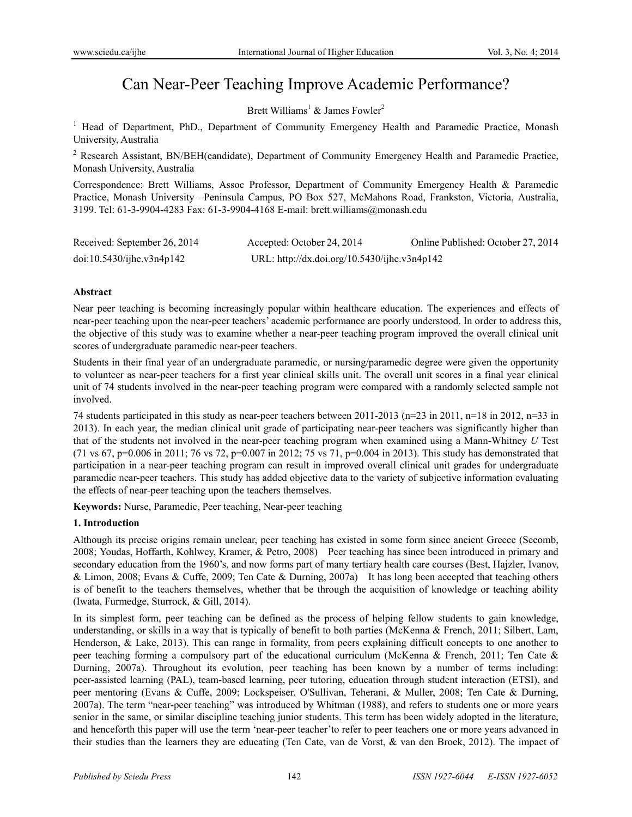# Can Near-Peer Teaching Improve Academic Performance?

Brett Williams<sup>1</sup> & James Fowler<sup>2</sup>

<sup>1</sup> Head of Department, PhD., Department of Community Emergency Health and Paramedic Practice, Monash University, Australia

<sup>2</sup> Research Assistant, BN/BEH(candidate), Department of Community Emergency Health and Paramedic Practice, Monash University, Australia

Correspondence: Brett Williams, Assoc Professor, Department of Community Emergency Health & Paramedic Practice, Monash University –Peninsula Campus, PO Box 527, McMahons Road, Frankston, Victoria, Australia, 3199. Tel: 61-3-9904-4283 Fax: 61-3-9904-4168 E-mail: brett.williams@monash.edu

| Received: September 26, 2014 | Accepted: October 24, 2014                   | Online Published: October 27, 2014 |
|------------------------------|----------------------------------------------|------------------------------------|
| doi:10.5430/ijhe.v3n4p142    | URL: http://dx.doi.org/10.5430/ijhe.v3n4p142 |                                    |

## **Abstract**

Near peer teaching is becoming increasingly popular within healthcare education. The experiences and effects of near-peer teaching upon the near-peer teachers' academic performance are poorly understood. In order to address this, the objective of this study was to examine whether a near-peer teaching program improved the overall clinical unit scores of undergraduate paramedic near-peer teachers.

Students in their final year of an undergraduate paramedic, or nursing/paramedic degree were given the opportunity to volunteer as near-peer teachers for a first year clinical skills unit. The overall unit scores in a final year clinical unit of 74 students involved in the near-peer teaching program were compared with a randomly selected sample not involved.

74 students participated in this study as near-peer teachers between 2011-2013 (n=23 in 2011, n=18 in 2012, n=33 in 2013). In each year, the median clinical unit grade of participating near-peer teachers was significantly higher than that of the students not involved in the near-peer teaching program when examined using a Mann-Whitney *U* Test (71 vs 67, p=0.006 in 2011; 76 vs 72, p=0.007 in 2012; 75 vs 71, p=0.004 in 2013). This study has demonstrated that participation in a near-peer teaching program can result in improved overall clinical unit grades for undergraduate paramedic near-peer teachers. This study has added objective data to the variety of subjective information evaluating the effects of near-peer teaching upon the teachers themselves.

**Keywords:** Nurse, Paramedic, Peer teaching, Near-peer teaching

# **1. Introduction**

Although its precise origins remain unclear, peer teaching has existed in some form since ancient Greece (Secomb, 2008; Youdas, Hoffarth, Kohlwey, Kramer, & Petro, 2008) Peer teaching has since been introduced in primary and secondary education from the 1960's, and now forms part of many tertiary health care courses (Best, Hajzler, Ivanov, & Limon, 2008; Evans & Cuffe, 2009; Ten Cate & Durning, 2007a) It has long been accepted that teaching others is of benefit to the teachers themselves, whether that be through the acquisition of knowledge or teaching ability (Iwata, Furmedge, Sturrock, & Gill, 2014).

In its simplest form, peer teaching can be defined as the process of helping fellow students to gain knowledge, understanding, or skills in a way that is typically of benefit to both parties (McKenna & French, 2011; Silbert, Lam, Henderson, & Lake, 2013). This can range in formality, from peers explaining difficult concepts to one another to peer teaching forming a compulsory part of the educational curriculum (McKenna & French, 2011; Ten Cate & Durning, 2007a). Throughout its evolution, peer teaching has been known by a number of terms including: peer-assisted learning (PAL), team-based learning, peer tutoring, education through student interaction (ETSI), and peer mentoring (Evans & Cuffe, 2009; Lockspeiser, O'Sullivan, Teherani, & Muller, 2008; Ten Cate & Durning, 2007a). The term "near-peer teaching" was introduced by Whitman (1988), and refers to students one or more years senior in the same, or similar discipline teaching junior students. This term has been widely adopted in the literature, and henceforth this paper will use the term 'near-peer teacher'to refer to peer teachers one or more years advanced in their studies than the learners they are educating (Ten Cate, van de Vorst, & van den Broek, 2012). The impact of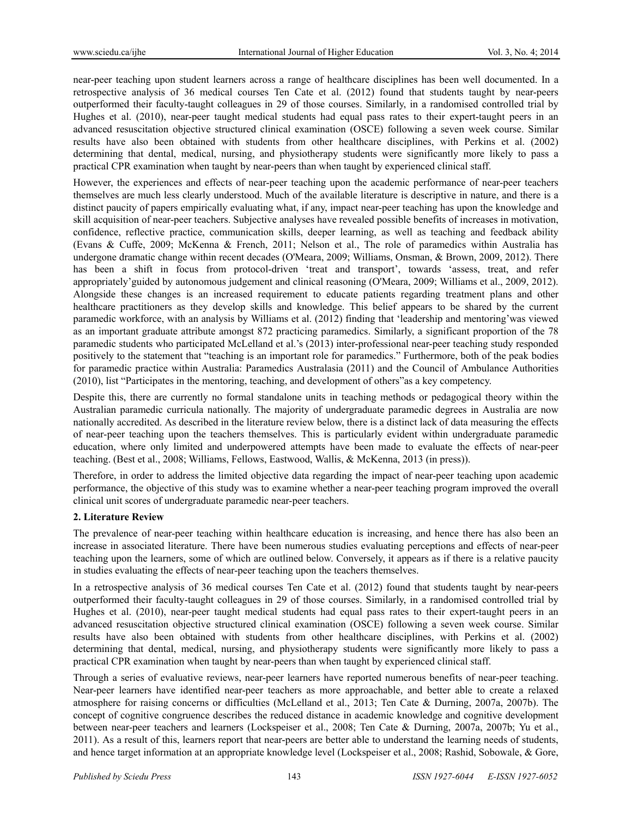near-peer teaching upon student learners across a range of healthcare disciplines has been well documented. In a retrospective analysis of 36 medical courses Ten Cate et al. (2012) found that students taught by near-peers outperformed their faculty-taught colleagues in 29 of those courses. Similarly, in a randomised controlled trial by Hughes et al. (2010), near-peer taught medical students had equal pass rates to their expert-taught peers in an advanced resuscitation objective structured clinical examination (OSCE) following a seven week course. Similar results have also been obtained with students from other healthcare disciplines, with Perkins et al. (2002) determining that dental, medical, nursing, and physiotherapy students were significantly more likely to pass a practical CPR examination when taught by near-peers than when taught by experienced clinical staff.

However, the experiences and effects of near-peer teaching upon the academic performance of near-peer teachers themselves are much less clearly understood. Much of the available literature is descriptive in nature, and there is a distinct paucity of papers empirically evaluating what, if any, impact near-peer teaching has upon the knowledge and skill acquisition of near-peer teachers. Subjective analyses have revealed possible benefits of increases in motivation, confidence, reflective practice, communication skills, deeper learning, as well as teaching and feedback ability (Evans & Cuffe, 2009; McKenna & French, 2011; Nelson et al., The role of paramedics within Australia has undergone dramatic change within recent decades (O'Meara, 2009; Williams, Onsman, & Brown, 2009, 2012). There has been a shift in focus from protocol-driven 'treat and transport', towards 'assess, treat, and refer appropriately'guided by autonomous judgement and clinical reasoning (O'Meara, 2009; Williams et al., 2009, 2012). Alongside these changes is an increased requirement to educate patients regarding treatment plans and other healthcare practitioners as they develop skills and knowledge. This belief appears to be shared by the current paramedic workforce, with an analysis by Williams et al. (2012) finding that 'leadership and mentoring'was viewed as an important graduate attribute amongst 872 practicing paramedics. Similarly, a significant proportion of the 78 paramedic students who participated McLelland et al.'s (2013) inter-professional near-peer teaching study responded positively to the statement that "teaching is an important role for paramedics." Furthermore, both of the peak bodies for paramedic practice within Australia: Paramedics Australasia (2011) and the Council of Ambulance Authorities (2010), list "Participates in the mentoring, teaching, and development of others"as a key competency.

Despite this, there are currently no formal standalone units in teaching methods or pedagogical theory within the Australian paramedic curricula nationally. The majority of undergraduate paramedic degrees in Australia are now nationally accredited. As described in the literature review below, there is a distinct lack of data measuring the effects of near-peer teaching upon the teachers themselves. This is particularly evident within undergraduate paramedic education, where only limited and underpowered attempts have been made to evaluate the effects of near-peer teaching. (Best et al., 2008; Williams, Fellows, Eastwood, Wallis, & McKenna, 2013 (in press)).

Therefore, in order to address the limited objective data regarding the impact of near-peer teaching upon academic performance, the objective of this study was to examine whether a near-peer teaching program improved the overall clinical unit scores of undergraduate paramedic near-peer teachers.

# **2. Literature Review**

The prevalence of near-peer teaching within healthcare education is increasing, and hence there has also been an increase in associated literature. There have been numerous studies evaluating perceptions and effects of near-peer teaching upon the learners, some of which are outlined below. Conversely, it appears as if there is a relative paucity in studies evaluating the effects of near-peer teaching upon the teachers themselves.

In a retrospective analysis of 36 medical courses Ten Cate et al. (2012) found that students taught by near-peers outperformed their faculty-taught colleagues in 29 of those courses. Similarly, in a randomised controlled trial by Hughes et al. (2010), near-peer taught medical students had equal pass rates to their expert-taught peers in an advanced resuscitation objective structured clinical examination (OSCE) following a seven week course. Similar results have also been obtained with students from other healthcare disciplines, with Perkins et al. (2002) determining that dental, medical, nursing, and physiotherapy students were significantly more likely to pass a practical CPR examination when taught by near-peers than when taught by experienced clinical staff.

Through a series of evaluative reviews, near-peer learners have reported numerous benefits of near-peer teaching. Near-peer learners have identified near-peer teachers as more approachable, and better able to create a relaxed atmosphere for raising concerns or difficulties (McLelland et al., 2013; Ten Cate & Durning, 2007a, 2007b). The concept of cognitive congruence describes the reduced distance in academic knowledge and cognitive development between near-peer teachers and learners (Lockspeiser et al., 2008; Ten Cate & Durning, 2007a, 2007b; Yu et al., 2011). As a result of this, learners report that near-peers are better able to understand the learning needs of students, and hence target information at an appropriate knowledge level (Lockspeiser et al., 2008; Rashid, Sobowale, & Gore,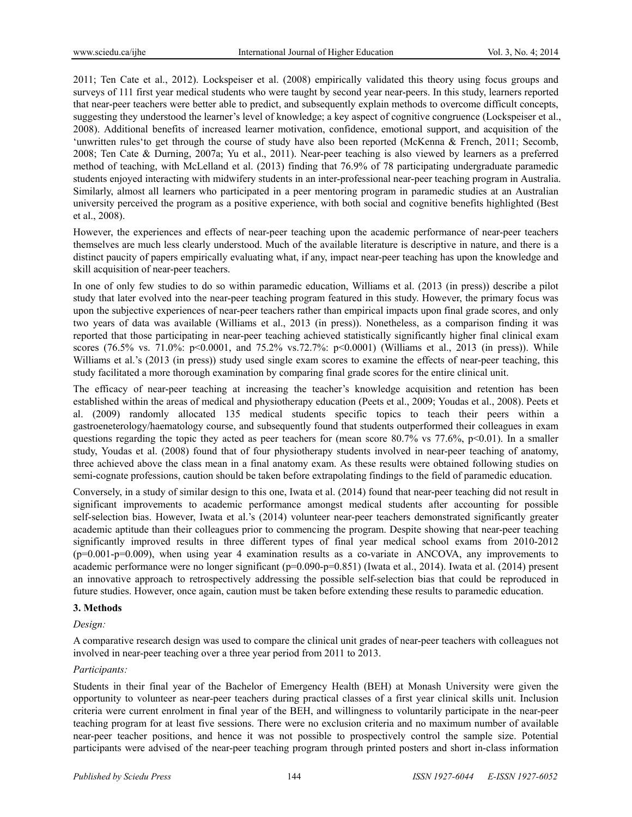2011; Ten Cate et al., 2012). Lockspeiser et al. (2008) empirically validated this theory using focus groups and surveys of 111 first year medical students who were taught by second year near-peers. In this study, learners reported that near-peer teachers were better able to predict, and subsequently explain methods to overcome difficult concepts, suggesting they understood the learner's level of knowledge; a key aspect of cognitive congruence (Lockspeiser et al., 2008). Additional benefits of increased learner motivation, confidence, emotional support, and acquisition of the 'unwritten rules'to get through the course of study have also been reported (McKenna & French, 2011; Secomb, 2008; Ten Cate & Durning, 2007a; Yu et al., 2011). Near-peer teaching is also viewed by learners as a preferred method of teaching, with McLelland et al. (2013) finding that 76.9% of 78 participating undergraduate paramedic students enjoyed interacting with midwifery students in an inter-professional near-peer teaching program in Australia. Similarly, almost all learners who participated in a peer mentoring program in paramedic studies at an Australian university perceived the program as a positive experience, with both social and cognitive benefits highlighted (Best et al., 2008).

However, the experiences and effects of near-peer teaching upon the academic performance of near-peer teachers themselves are much less clearly understood. Much of the available literature is descriptive in nature, and there is a distinct paucity of papers empirically evaluating what, if any, impact near-peer teaching has upon the knowledge and skill acquisition of near-peer teachers.

In one of only few studies to do so within paramedic education, Williams et al. (2013 (in press)) describe a pilot study that later evolved into the near-peer teaching program featured in this study. However, the primary focus was upon the subjective experiences of near-peer teachers rather than empirical impacts upon final grade scores, and only two years of data was available (Williams et al., 2013 (in press)). Nonetheless, as a comparison finding it was reported that those participating in near-peer teaching achieved statistically significantly higher final clinical exam scores (76.5% vs. 71.0%: p<0.0001, and 75.2% vs.72.7%: p<0.0001) (Williams et al., 2013 (in press)). While Williams et al.'s (2013 (in press)) study used single exam scores to examine the effects of near-peer teaching, this study facilitated a more thorough examination by comparing final grade scores for the entire clinical unit.

The efficacy of near-peer teaching at increasing the teacher's knowledge acquisition and retention has been established within the areas of medical and physiotherapy education (Peets et al., 2009; Youdas et al., 2008). Peets et al. (2009) randomly allocated 135 medical students specific topics to teach their peers within a gastroeneterology/haematology course, and subsequently found that students outperformed their colleagues in exam questions regarding the topic they acted as peer teachers for (mean score 80.7% vs 77.6%, p<0.01). In a smaller study, Youdas et al. (2008) found that of four physiotherapy students involved in near-peer teaching of anatomy, three achieved above the class mean in a final anatomy exam. As these results were obtained following studies on semi-cognate professions, caution should be taken before extrapolating findings to the field of paramedic education.

Conversely, in a study of similar design to this one, Iwata et al. (2014) found that near-peer teaching did not result in significant improvements to academic performance amongst medical students after accounting for possible self-selection bias. However, Iwata et al.'s (2014) volunteer near-peer teachers demonstrated significantly greater academic aptitude than their colleagues prior to commencing the program. Despite showing that near-peer teaching significantly improved results in three different types of final year medical school exams from 2010-2012 (p=0.001-p=0.009), when using year 4 examination results as a co-variate in ANCOVA, any improvements to academic performance were no longer significant (p=0.090-p=0.851) (Iwata et al., 2014). Iwata et al. (2014) present an innovative approach to retrospectively addressing the possible self-selection bias that could be reproduced in future studies. However, once again, caution must be taken before extending these results to paramedic education.

## **3. Methods**

## *Design:*

A comparative research design was used to compare the clinical unit grades of near-peer teachers with colleagues not involved in near-peer teaching over a three year period from 2011 to 2013.

### *Participants:*

Students in their final year of the Bachelor of Emergency Health (BEH) at Monash University were given the opportunity to volunteer as near-peer teachers during practical classes of a first year clinical skills unit. Inclusion criteria were current enrolment in final year of the BEH, and willingness to voluntarily participate in the near-peer teaching program for at least five sessions. There were no exclusion criteria and no maximum number of available near-peer teacher positions, and hence it was not possible to prospectively control the sample size. Potential participants were advised of the near-peer teaching program through printed posters and short in-class information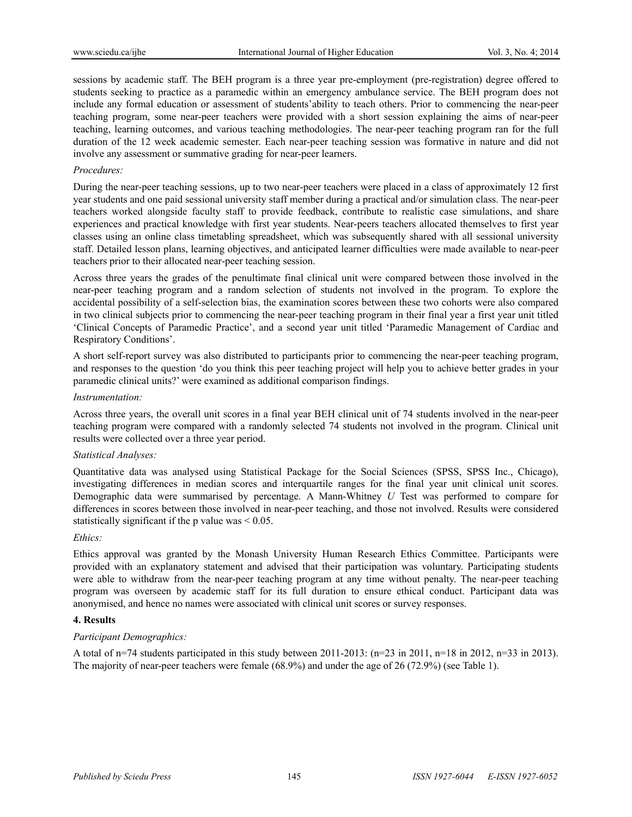sessions by academic staff. The BEH program is a three year pre-employment (pre-registration) degree offered to students seeking to practice as a paramedic within an emergency ambulance service. The BEH program does not include any formal education or assessment of students'ability to teach others. Prior to commencing the near-peer teaching program, some near-peer teachers were provided with a short session explaining the aims of near-peer teaching, learning outcomes, and various teaching methodologies. The near-peer teaching program ran for the full duration of the 12 week academic semester. Each near-peer teaching session was formative in nature and did not involve any assessment or summative grading for near-peer learners.

## *Procedures:*

During the near-peer teaching sessions, up to two near-peer teachers were placed in a class of approximately 12 first year students and one paid sessional university staff member during a practical and/or simulation class. The near-peer teachers worked alongside faculty staff to provide feedback, contribute to realistic case simulations, and share experiences and practical knowledge with first year students. Near-peers teachers allocated themselves to first year classes using an online class timetabling spreadsheet, which was subsequently shared with all sessional university staff. Detailed lesson plans, learning objectives, and anticipated learner difficulties were made available to near-peer teachers prior to their allocated near-peer teaching session.

Across three years the grades of the penultimate final clinical unit were compared between those involved in the near-peer teaching program and a random selection of students not involved in the program. To explore the accidental possibility of a self-selection bias, the examination scores between these two cohorts were also compared in two clinical subjects prior to commencing the near-peer teaching program in their final year a first year unit titled 'Clinical Concepts of Paramedic Practice', and a second year unit titled 'Paramedic Management of Cardiac and Respiratory Conditions'.

A short self-report survey was also distributed to participants prior to commencing the near-peer teaching program, and responses to the question 'do you think this peer teaching project will help you to achieve better grades in your paramedic clinical units?' were examined as additional comparison findings.

### *Instrumentation:*

Across three years, the overall unit scores in a final year BEH clinical unit of 74 students involved in the near-peer teaching program were compared with a randomly selected 74 students not involved in the program. Clinical unit results were collected over a three year period.

### *Statistical Analyses:*

Quantitative data was analysed using Statistical Package for the Social Sciences (SPSS, SPSS Inc., Chicago), investigating differences in median scores and interquartile ranges for the final year unit clinical unit scores. Demographic data were summarised by percentage. A Mann-Whitney *U* Test was performed to compare for differences in scores between those involved in near-peer teaching, and those not involved. Results were considered statistically significant if the p value was  $\leq 0.05$ .

### *Ethics:*

Ethics approval was granted by the Monash University Human Research Ethics Committee. Participants were provided with an explanatory statement and advised that their participation was voluntary. Participating students were able to withdraw from the near-peer teaching program at any time without penalty. The near-peer teaching program was overseen by academic staff for its full duration to ensure ethical conduct. Participant data was anonymised, and hence no names were associated with clinical unit scores or survey responses.

### **4. Results**

# *Participant Demographics:*

A total of n=74 students participated in this study between 2011-2013:  $(n=23 \text{ in } 2011, n=18 \text{ in } 2012, n=33 \text{ in } 2013)$ . The majority of near-peer teachers were female (68.9%) and under the age of 26 (72.9%) (see Table 1).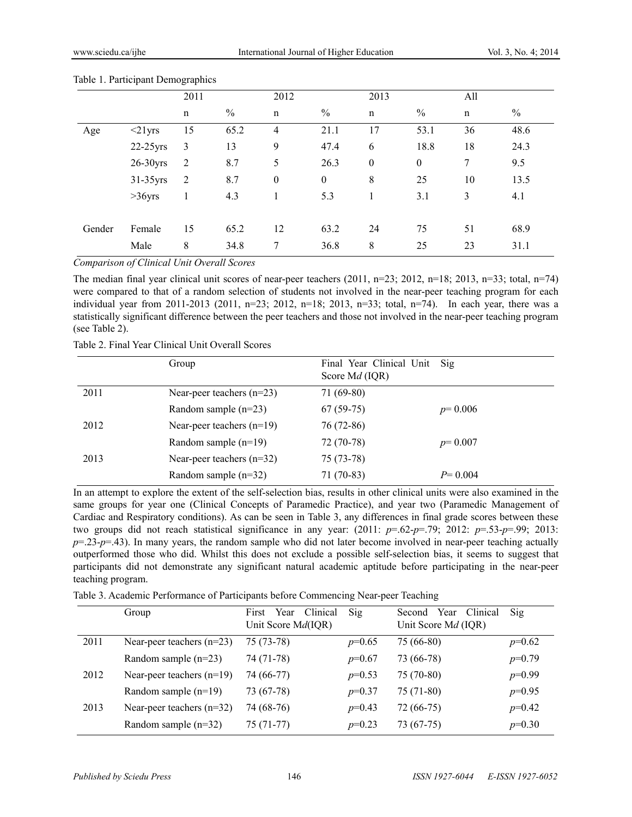|        |               | ັ່<br>2011  |               | 2012             |                  | 2013             |                  | All         |      |
|--------|---------------|-------------|---------------|------------------|------------------|------------------|------------------|-------------|------|
|        |               | $\mathbf n$ | $\frac{0}{0}$ | $\mathbf n$      | $\frac{0}{0}$    | $\mathbf n$      | $\frac{0}{0}$    | $\mathbf n$ | $\%$ |
| Age    | $\leq$ 21 yrs | 15          | 65.2          | $\overline{4}$   | 21.1             | 17               | 53.1             | 36          | 48.6 |
|        | $22-25$ yrs   | 3           | 13            | 9                | 47.4             | 6                | 18.8             | 18          | 24.3 |
|        | $26-30$ yrs   | 2           | 8.7           | 5                | 26.3             | $\boldsymbol{0}$ | $\boldsymbol{0}$ | $\tau$      | 9.5  |
|        | 31-35yrs      | 2           | 8.7           | $\boldsymbol{0}$ | $\boldsymbol{0}$ | 8                | 25               | 10          | 13.5 |
|        | $>36$ yrs     | 1           | 4.3           |                  | 5.3              |                  | 3.1              | 3           | 4.1  |
| Gender | Female        | 15          | 65.2          | 12               | 63.2             | 24               | 75               | 51          | 68.9 |
|        | Male          | 8           | 34.8          | 7                | 36.8             | 8                | 25               | 23          | 31.1 |

#### Table 1. Participant Demographics

*Comparison of Clinical Unit Overall Scores*

The median final year clinical unit scores of near-peer teachers  $(2011, n=23; 2012, n=18; 2013, n=33; total, n=74)$ were compared to that of a random selection of students not involved in the near-peer teaching program for each individual year from 2011-2013 (2011, n=23; 2012, n=18; 2013, n=33; total, n=74). In each year, there was a statistically significant difference between the peer teachers and those not involved in the near-peer teaching program (see Table 2).

Table 2. Final Year Clinical Unit Overall Scores

|      | Group                       | Final Year Clinical Unit<br>Score Md (IQR) | $\text{Si}\mathfrak{g}$ |
|------|-----------------------------|--------------------------------------------|-------------------------|
| 2011 | Near-peer teachers $(n=23)$ | $71(69-80)$                                |                         |
|      | Random sample $(n=23)$      | $67(59-75)$                                | $p=0.006$               |
| 2012 | Near-peer teachers $(n=19)$ | $76(72-86)$                                |                         |
|      | Random sample $(n=19)$      | 72 (70-78)                                 | $p=0.007$               |
| 2013 | Near-peer teachers $(n=32)$ | $75(73-78)$                                |                         |
|      | Random sample $(n=32)$      | $71(70-83)$                                | $P=0.004$               |

In an attempt to explore the extent of the self-selection bias, results in other clinical units were also examined in the same groups for year one (Clinical Concepts of Paramedic Practice), and year two (Paramedic Management of Cardiac and Respiratory conditions). As can be seen in Table 3, any differences in final grade scores between these two groups did not reach statistical significance in any year:  $(2011: p=.62-p=.79; 2012: p=.53-p=.99; 2013:$  $p=23-p=43$ ). In many years, the random sample who did not later become involved in near-peer teaching actually outperformed those who did. Whilst this does not exclude a possible self-selection bias, it seems to suggest that participants did not demonstrate any significant natural academic aptitude before participating in the near-peer teaching program.

Table 3. Academic Performance of Participants before Commencing Near-peer Teaching

|      | Group                       | Year<br>Clinical<br>First<br>Unit Score Md(IQR) | Sig      | Year<br>Clinical<br>Second<br>Unit Score Md (IQR) | Sig      |
|------|-----------------------------|-------------------------------------------------|----------|---------------------------------------------------|----------|
| 2011 | Near-peer teachers $(n=23)$ | 75 (73-78)                                      | $p=0.65$ | 75 (66-80)                                        | $p=0.62$ |
|      | Random sample $(n=23)$      | 74 (71-78)                                      | $p=0.67$ | 73 (66-78)                                        | $p=0.79$ |
| 2012 | Near-peer teachers $(n=19)$ | 74 (66-77)                                      | $p=0.53$ | 75 (70-80)                                        | $p=0.99$ |
|      | Random sample $(n=19)$      | 73 (67-78)                                      | $p=0.37$ | $75(71-80)$                                       | $p=0.95$ |
| 2013 | Near-peer teachers $(n=32)$ | 74 (68-76)                                      | $p=0.43$ | $72(66-75)$                                       | $p=0.42$ |
|      | Random sample $(n=32)$      | 75 (71-77)                                      | $p=0.23$ | 73 (67-75)                                        | $p=0.30$ |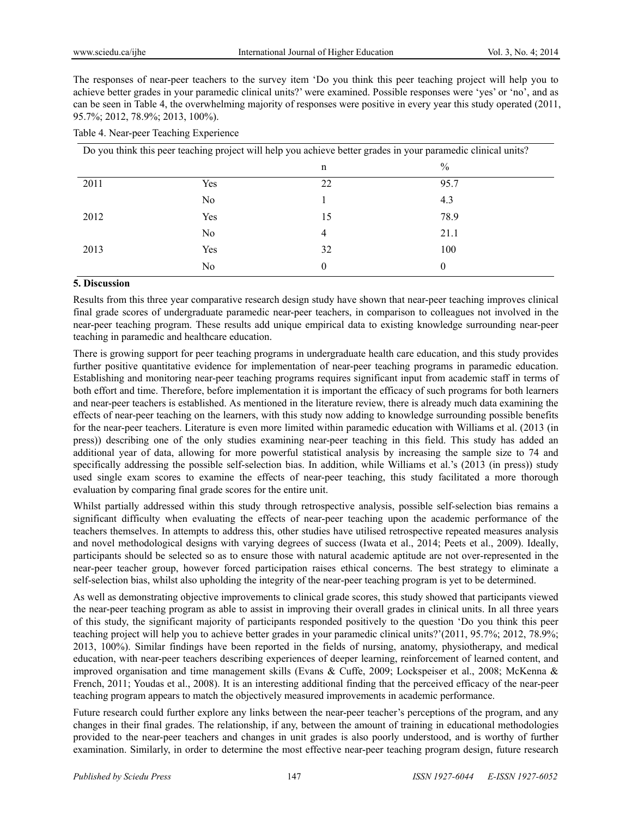The responses of near-peer teachers to the survey item 'Do you think this peer teaching project will help you to achieve better grades in your paramedic clinical units?' were examined. Possible responses were 'yes' or 'no', and as can be seen in Table 4, the overwhelming majority of responses were positive in every year this study operated (2011, 95.7%; 2012, 78.9%; 2013, 100%).

## Table 4. Near-peer Teaching Experience

| Do you think this peer teaching project will help you achieve better grades in your paramedic clinical units? |                |    |               |  |
|---------------------------------------------------------------------------------------------------------------|----------------|----|---------------|--|
|                                                                                                               |                | n  | $\frac{0}{0}$ |  |
| 2011                                                                                                          | Yes            | 22 | 95.7          |  |
|                                                                                                               | N <sub>0</sub> |    | 4.3           |  |
| 2012                                                                                                          | Yes            | 15 | 78.9          |  |
|                                                                                                               | No             | 4  | 21.1          |  |
| 2013                                                                                                          | Yes            | 32 | 100           |  |
|                                                                                                               | No             | 0  | $\theta$      |  |

# **5. Discussion**

Results from this three year comparative research design study have shown that near-peer teaching improves clinical final grade scores of undergraduate paramedic near-peer teachers, in comparison to colleagues not involved in the near-peer teaching program. These results add unique empirical data to existing knowledge surrounding near-peer teaching in paramedic and healthcare education.

There is growing support for peer teaching programs in undergraduate health care education, and this study provides further positive quantitative evidence for implementation of near-peer teaching programs in paramedic education. Establishing and monitoring near-peer teaching programs requires significant input from academic staff in terms of both effort and time. Therefore, before implementation it is important the efficacy of such programs for both learners and near-peer teachers is established. As mentioned in the literature review, there is already much data examining the effects of near-peer teaching on the learners, with this study now adding to knowledge surrounding possible benefits for the near-peer teachers. Literature is even more limited within paramedic education with Williams et al. (2013 (in press)) describing one of the only studies examining near-peer teaching in this field. This study has added an additional year of data, allowing for more powerful statistical analysis by increasing the sample size to 74 and specifically addressing the possible self-selection bias. In addition, while Williams et al.'s (2013 (in press)) study used single exam scores to examine the effects of near-peer teaching, this study facilitated a more thorough evaluation by comparing final grade scores for the entire unit.

Whilst partially addressed within this study through retrospective analysis, possible self-selection bias remains a significant difficulty when evaluating the effects of near-peer teaching upon the academic performance of the teachers themselves. In attempts to address this, other studies have utilised retrospective repeated measures analysis and novel methodological designs with varying degrees of success (Iwata et al., 2014; Peets et al., 2009). Ideally, participants should be selected so as to ensure those with natural academic aptitude are not over-represented in the near-peer teacher group, however forced participation raises ethical concerns. The best strategy to eliminate a self-selection bias, whilst also upholding the integrity of the near-peer teaching program is yet to be determined.

As well as demonstrating objective improvements to clinical grade scores, this study showed that participants viewed the near-peer teaching program as able to assist in improving their overall grades in clinical units. In all three years of this study, the significant majority of participants responded positively to the question 'Do you think this peer teaching project will help you to achieve better grades in your paramedic clinical units?'(2011, 95.7%; 2012, 78.9%; 2013, 100%). Similar findings have been reported in the fields of nursing, anatomy, physiotherapy, and medical education, with near-peer teachers describing experiences of deeper learning, reinforcement of learned content, and improved organisation and time management skills (Evans & Cuffe, 2009; Lockspeiser et al., 2008; McKenna & French, 2011; Youdas et al., 2008). It is an interesting additional finding that the perceived efficacy of the near-peer teaching program appears to match the objectively measured improvements in academic performance.

Future research could further explore any links between the near-peer teacher's perceptions of the program, and any changes in their final grades. The relationship, if any, between the amount of training in educational methodologies provided to the near-peer teachers and changes in unit grades is also poorly understood, and is worthy of further examination. Similarly, in order to determine the most effective near-peer teaching program design, future research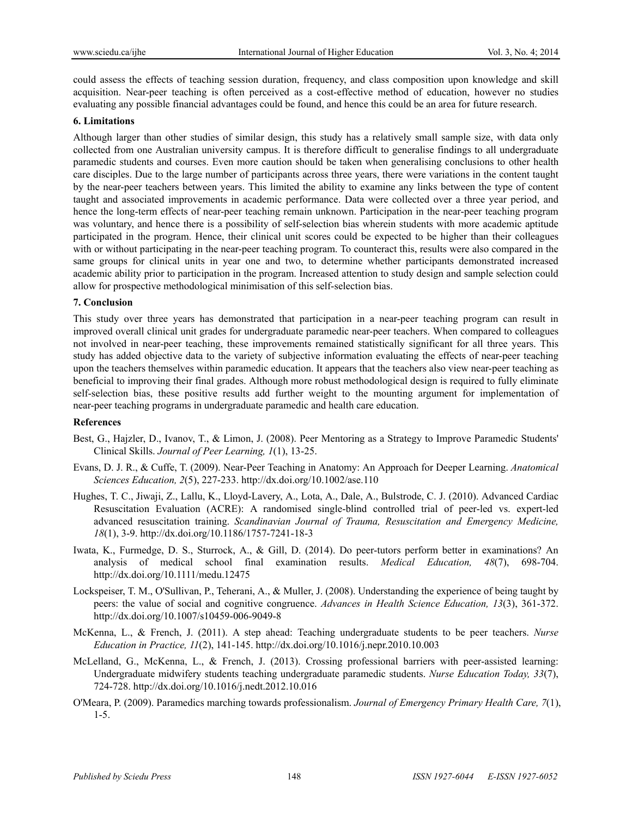could assess the effects of teaching session duration, frequency, and class composition upon knowledge and skill acquisition. Near-peer teaching is often perceived as a cost-effective method of education, however no studies evaluating any possible financial advantages could be found, and hence this could be an area for future research.

#### **6. Limitations**

Although larger than other studies of similar design, this study has a relatively small sample size, with data only collected from one Australian university campus. It is therefore difficult to generalise findings to all undergraduate paramedic students and courses. Even more caution should be taken when generalising conclusions to other health care disciples. Due to the large number of participants across three years, there were variations in the content taught by the near-peer teachers between years. This limited the ability to examine any links between the type of content taught and associated improvements in academic performance. Data were collected over a three year period, and hence the long-term effects of near-peer teaching remain unknown. Participation in the near-peer teaching program was voluntary, and hence there is a possibility of self-selection bias wherein students with more academic aptitude participated in the program. Hence, their clinical unit scores could be expected to be higher than their colleagues with or without participating in the near-peer teaching program. To counteract this, results were also compared in the same groups for clinical units in year one and two, to determine whether participants demonstrated increased academic ability prior to participation in the program. Increased attention to study design and sample selection could allow for prospective methodological minimisation of this self-selection bias.

#### **7. Conclusion**

This study over three years has demonstrated that participation in a near-peer teaching program can result in improved overall clinical unit grades for undergraduate paramedic near-peer teachers. When compared to colleagues not involved in near-peer teaching, these improvements remained statistically significant for all three years. This study has added objective data to the variety of subjective information evaluating the effects of near-peer teaching upon the teachers themselves within paramedic education. It appears that the teachers also view near-peer teaching as beneficial to improving their final grades. Although more robust methodological design is required to fully eliminate self-selection bias, these positive results add further weight to the mounting argument for implementation of near-peer teaching programs in undergraduate paramedic and health care education.

### **References**

- Best, G., Hajzler, D., Ivanov, T., & Limon, J. (2008). Peer Mentoring as a Strategy to Improve Paramedic Students' Clinical Skills. *Journal of Peer Learning, 1*(1), 13-25.
- Evans, D. J. R., & Cuffe, T. (2009). Near-Peer Teaching in Anatomy: An Approach for Deeper Learning. *Anatomical Sciences Education, 2*(5), 227-233. http://dx.doi.org/10.1002/ase.110
- Hughes, T. C., Jiwaji, Z., Lallu, K., Lloyd-Lavery, A., Lota, A., Dale, A., Bulstrode, C. J. (2010). Advanced Cardiac Resuscitation Evaluation (ACRE): A randomised single-blind controlled trial of peer-led vs. expert-led advanced resuscitation training. *Scandinavian Journal of Trauma, Resuscitation and Emergency Medicine, 18*(1), 3-9. http://dx.doi.org/10.1186/1757-7241-18-3
- Iwata, K., Furmedge, D. S., Sturrock, A., & Gill, D. (2014). Do peer-tutors perform better in examinations? An analysis of medical school final examination results. *Medical Education, 48*(7), 698-704. http://dx.doi.org/10.1111/medu.12475
- Lockspeiser, T. M., O'Sullivan, P., Teherani, A., & Muller, J. (2008). Understanding the experience of being taught by peers: the value of social and cognitive congruence. *Advances in Health Science Education, 13*(3), 361-372. http://dx.doi.org/10.1007/s10459-006-9049-8
- McKenna, L., & French, J. (2011). A step ahead: Teaching undergraduate students to be peer teachers. *Nurse Education in Practice, 11*(2), 141-145. http://dx.doi.org/10.1016/j.nepr.2010.10.003
- McLelland, G., McKenna, L., & French, J. (2013). Crossing professional barriers with peer-assisted learning: Undergraduate midwifery students teaching undergraduate paramedic students. *Nurse Education Today, 33*(7), 724-728. http://dx.doi.org/10.1016/j.nedt.2012.10.016
- O'Meara, P. (2009). Paramedics marching towards professionalism. *Journal of Emergency Primary Health Care, 7*(1), 1-5.